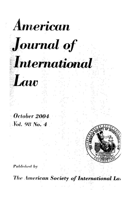

# Journal of

# International

October 2004 *Vol. 98 No. 4* 

Law

**Published by** 

The American Society of International La.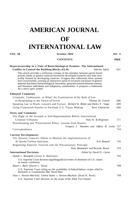## **AMERICAN JOURNAL OF INTERNATIONAL LAW**

#### **VOL. 98 October 2004 NO. 4**

#### **CONTENTS PAGE**

#### **Hyperownership in a Time of Biotechnological Promise: The International Conflict to Control the Building Blocks of Life** *Sabrina Safrin* 641

This article provides a utilitarian critique of the interplay between patent-based private claims to genetic material favored by developed countries and state ownership favored by developing countries. It argues that collectively these systems have overreached, creating an interactive spiral of excessive enclosure of genetic material that deters biotechnological innovation, generates tension between nations, and threatens individuals and indigenous communities. It proposes a framework for a more open system.

#### **Editorial Comments**

| Criminals, Combatants, or What? An Examination of the Role of Law                                                          |     |
|----------------------------------------------------------------------------------------------------------------------------|-----|
| in Responding to the Threat of Terror<br>Thomas M. Franck                                                                  | 686 |
| Speaking Law to Power: Lawyers and Torture Richard B. Bilder and Detlev F. Vagts                                           | 689 |
| Using Framework Statutes to Facilitate U.S. Treaty Making<br>Steve Charnovitz                                              | 696 |
| <b>Notes and Comments</b>                                                                                                  |     |
| The Right ol the Accused to Self-Representation Before International                                                       |     |
| Criminal Tribunals<br>Nina H. B.J0rgensen                                                                                  | 711 |
| Peacekeeping and Prosecutorial Policy: Lessons from Kosovo                                                                 |     |
| Gregory L. Naarden and Jeffrey B. Locke 727                                                                                |     |
| Correspondence                                                                                                             | 743 |
| <b>Current Developments</b>                                                                                                |     |
| The Security Council's Efforts to Monitor the Implementation of                                                            |     |
| Al Qaeda/Taliban Sanctions<br>Eric Rosand                                                                                  | 745 |
| Regulating Antarctic Tourism and the Precautionary Principle                                                               |     |
| Kees Bastmeijer and Ricardo Roura                                                                                          | 763 |
| <b>International Decisions</b><br>Edited by David D. Caron                                                                 |     |
| <i>Hamdi v. Rumsfeld</i> (Jenny S. Martinez)                                                                               | 782 |
| U.S. Supreme Court decision regarding judicial review of detention of U.S. citizen<br>as enemy combatant                   |     |
| <i>Rasul v. Basil</i> (David L. Sloss)                                                                                     | 788 |
| U.S. Supreme Court ruling on the availability of federal habeas corpus relief to<br>detainees at Guantánamo Bay Naval Base |     |
| Sosa v. Alvurez-Maclwin; United States v. Alvarez-Machain (Brad R. Roth)                                                   | 798 |
| U.S. Supreme Court decision on the scope of the Alien Tort Statute                                                         |     |
|                                                                                                                            |     |